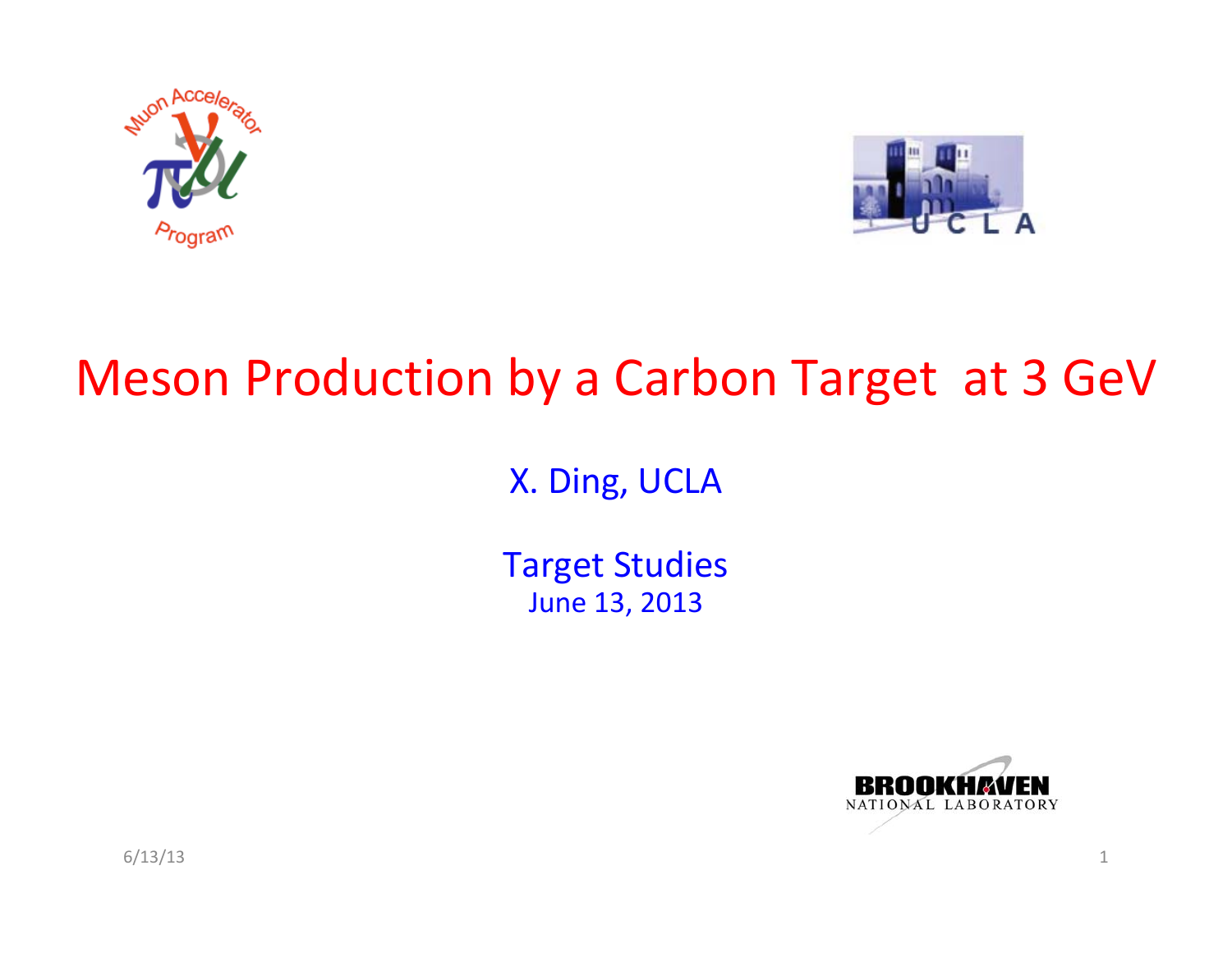



#### Meson Production by <sup>a</sup> Carbon Target at 3 GeV

X. Ding, UCLA

Target Studies June 13, 2013



6/13/13 1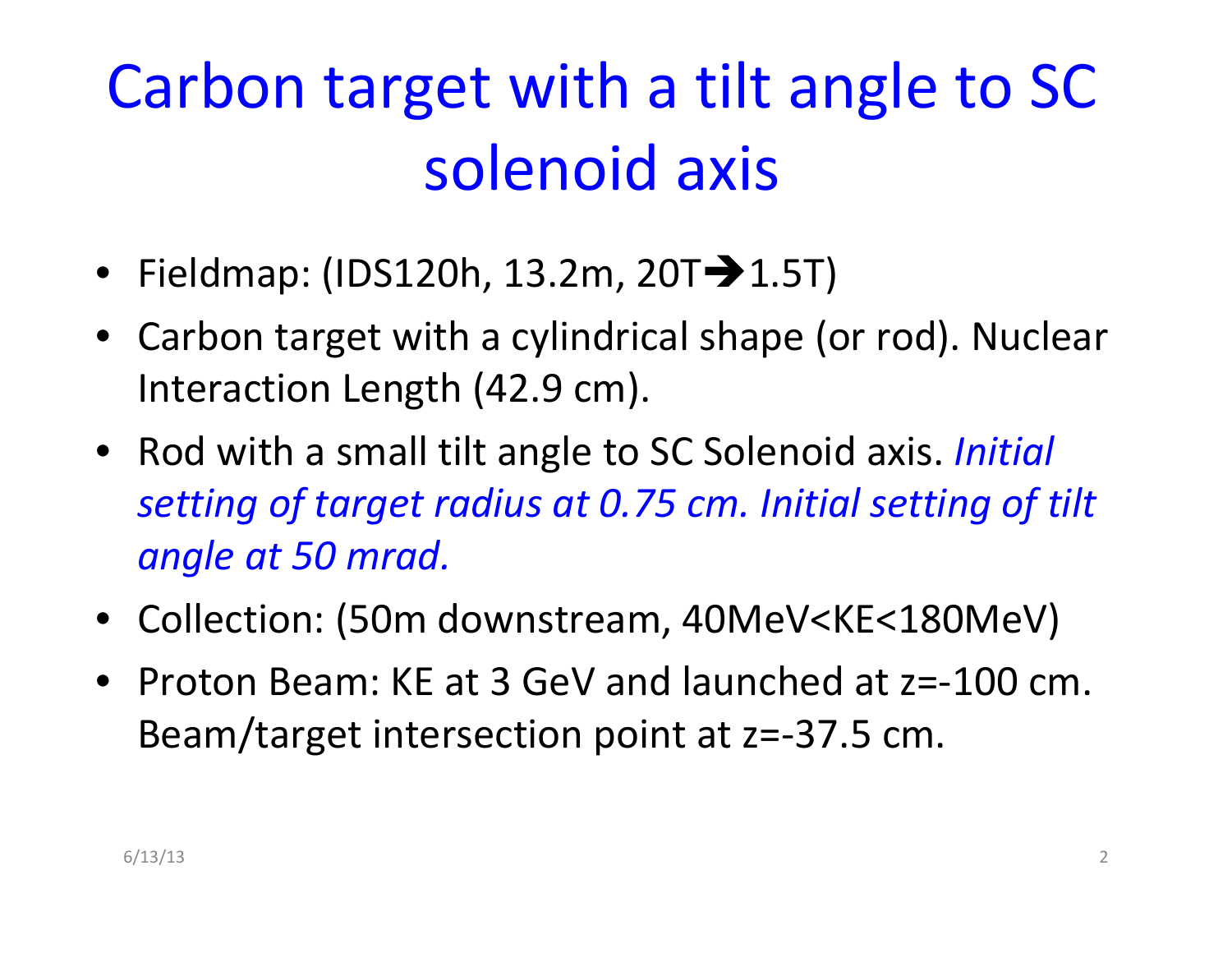# Carbon target with <sup>a</sup> tilt angle to SC solenoid axis

- Fieldmap: (IDS120h, 13.2m, 20T $-$ 1.5T)
- Carbon target with <sup>a</sup> cylindrical shape (or rod). Nuclear Interaction Length (42.9 cm).
- Rod with <sup>a</sup> small tilt angle to SC Solenoid axis. *Initial setting of target radius at 0.75 cm. Initial setting of tilt angle at 50 mrad.*
- Collection: (50m downstream, 40MeV<KE<180MeV)
- Proton Beam: KE at 3 GeV and launched at z=‐100 cm. Beam/target intersection point at z=‐37.5 cm.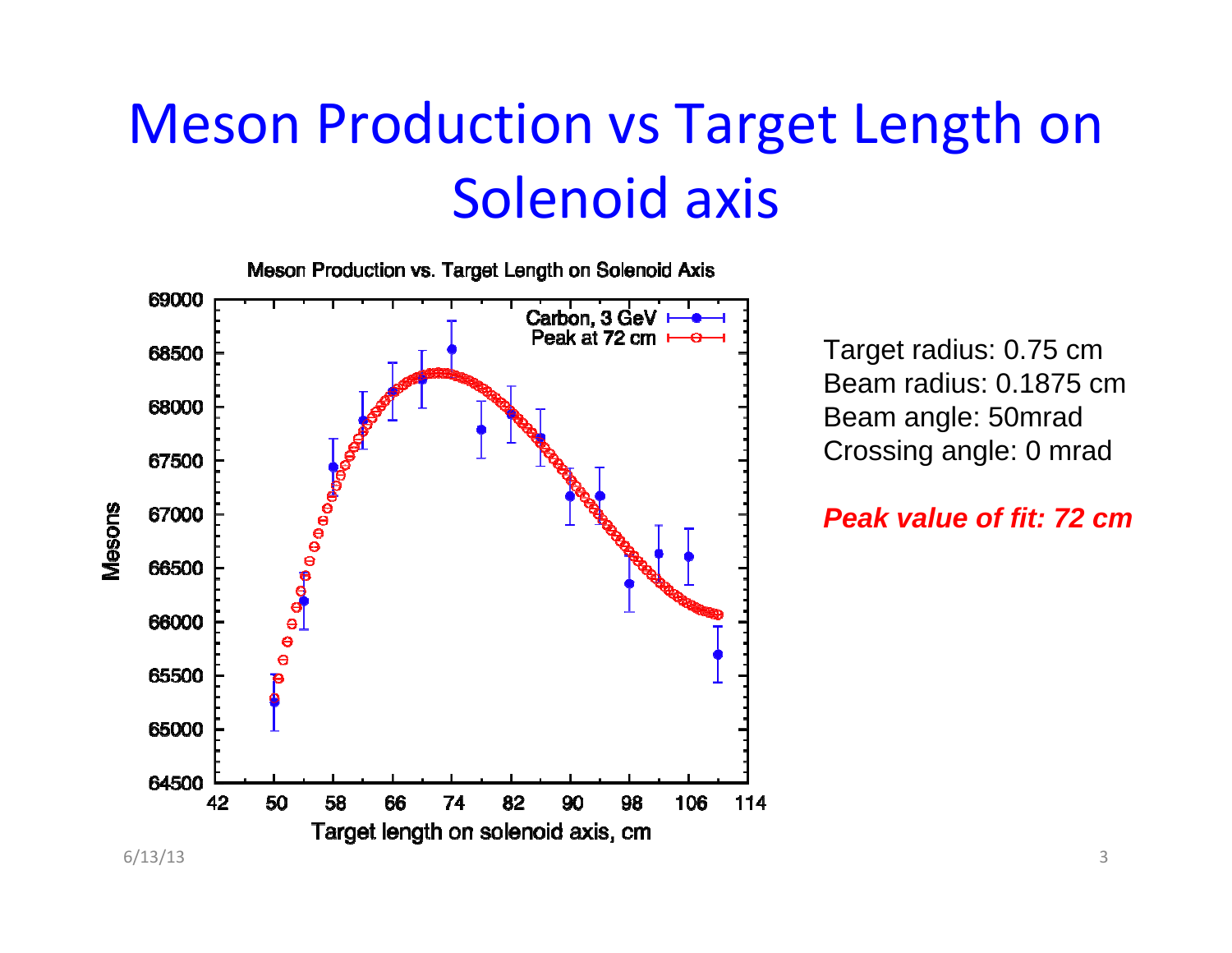# Meson Production vs Target Length on Solenoid axis



Target radius: 0.75 cm Beam radius: 0.1875 cmBeam angle: 50mrad Crossing angle: 0 mrad

*Peak value of fit: 72 cm*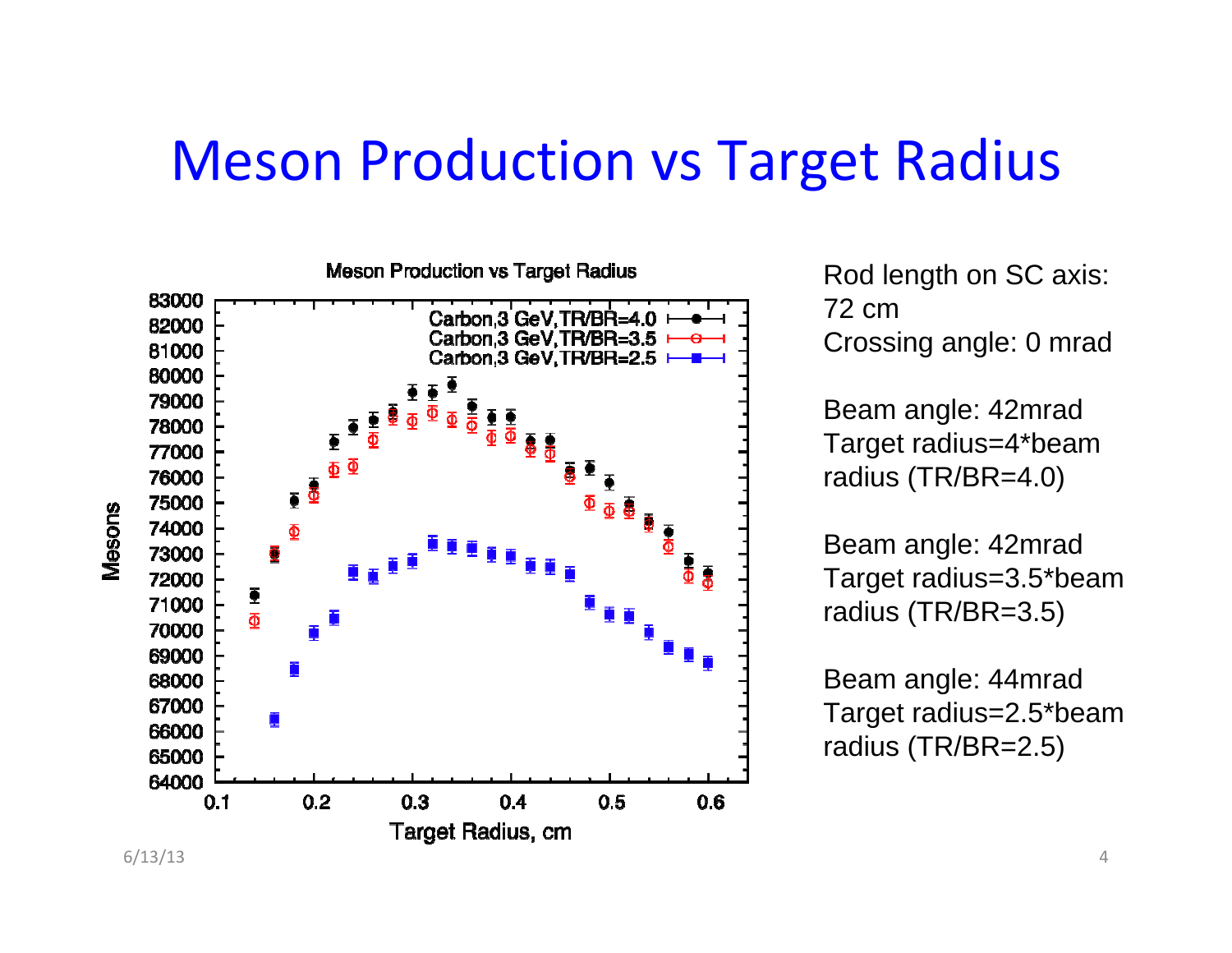#### Meson Production vs Target Radius



Rod length on SC axis: 72 cmCrossing angle: 0 mrad

Beam angle: 42mrad Target radius=4\*beam radius (TR/BR=4.0)

Beam angle: 42mrad Target radius=3.5\*beam radius (TR/BR=3.5)

Beam angle: 44mrad Target radius=2.5\*beam radius (TR/BR=2.5)

6/13/13 4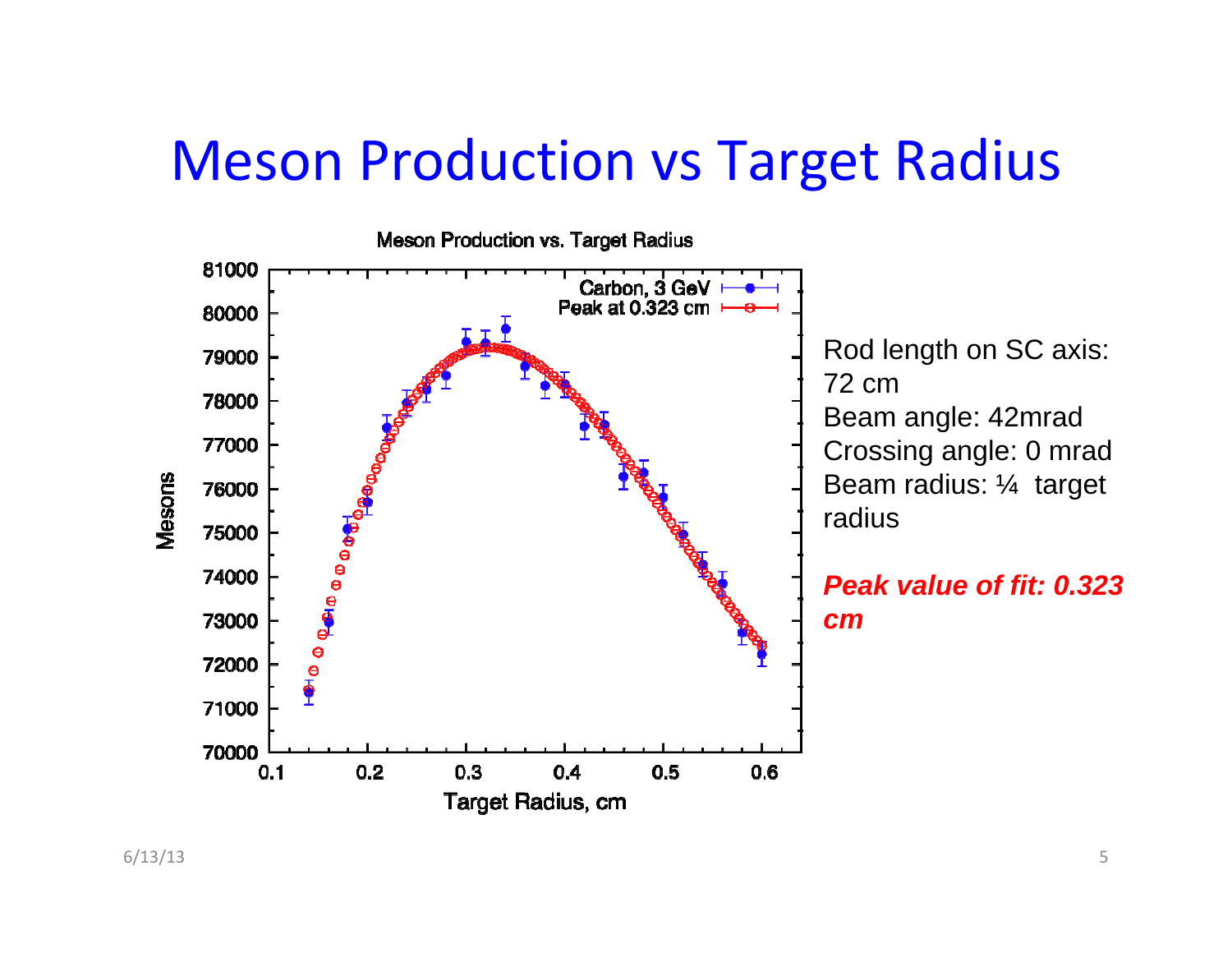### Meson Production vs Target Radius

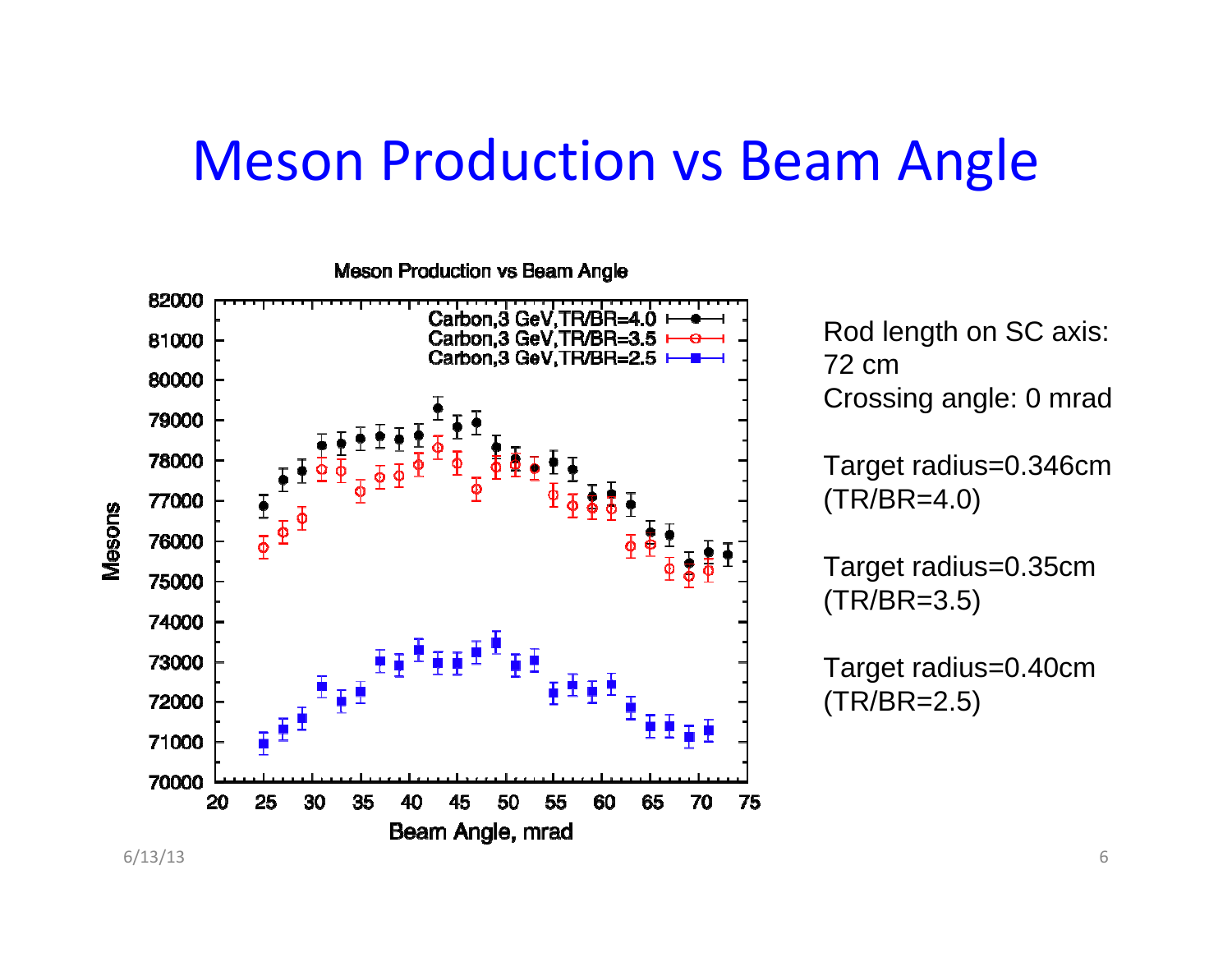#### Meson Production vs Beam Angle

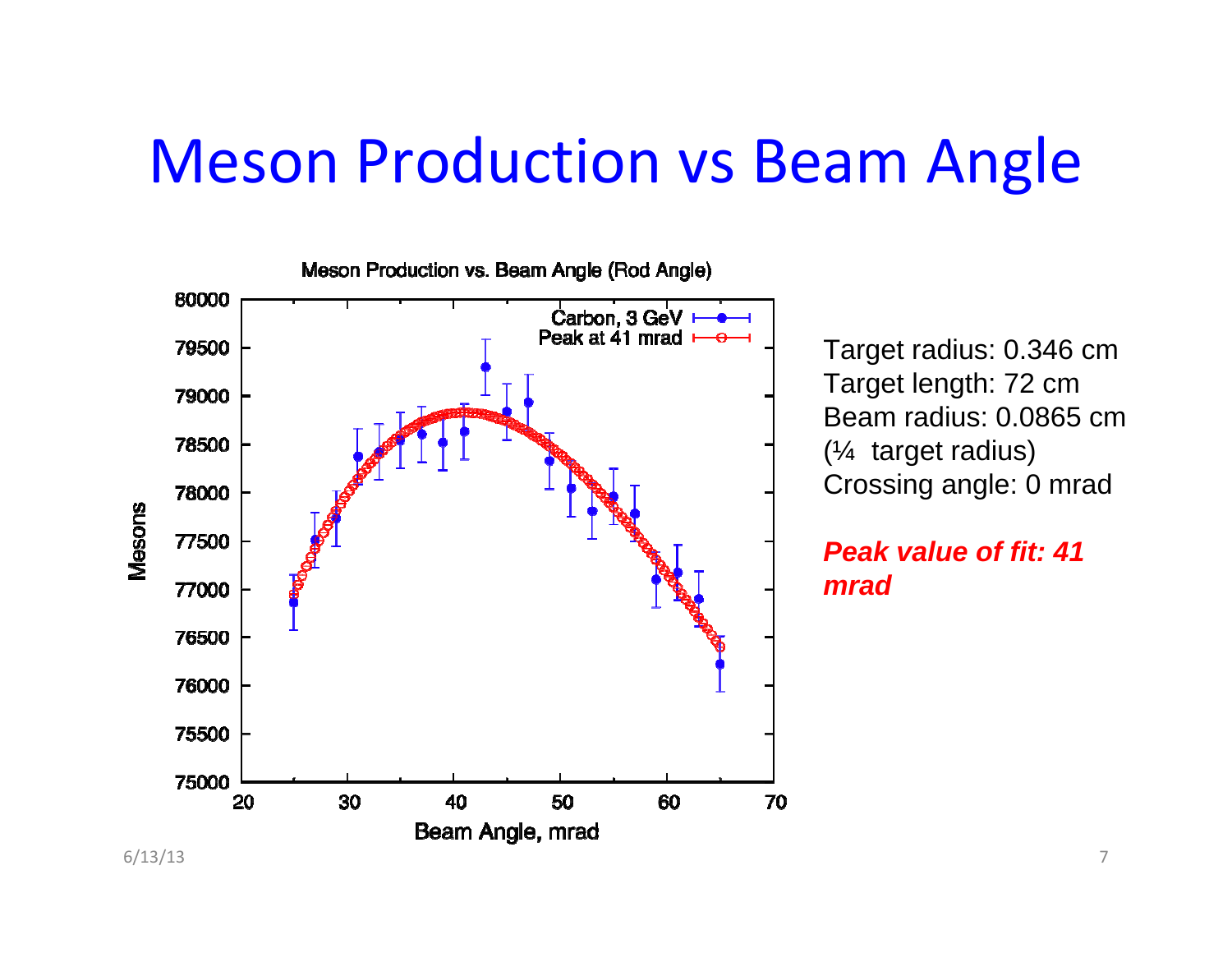## Meson Production vs Beam Angle



Target radius: 0.346 cm Target length: 72 cm Beam radius: 0.0865 cm(¼ target radius) Crossing angle: 0 mrad

*Peak value of fit: 41 mrad*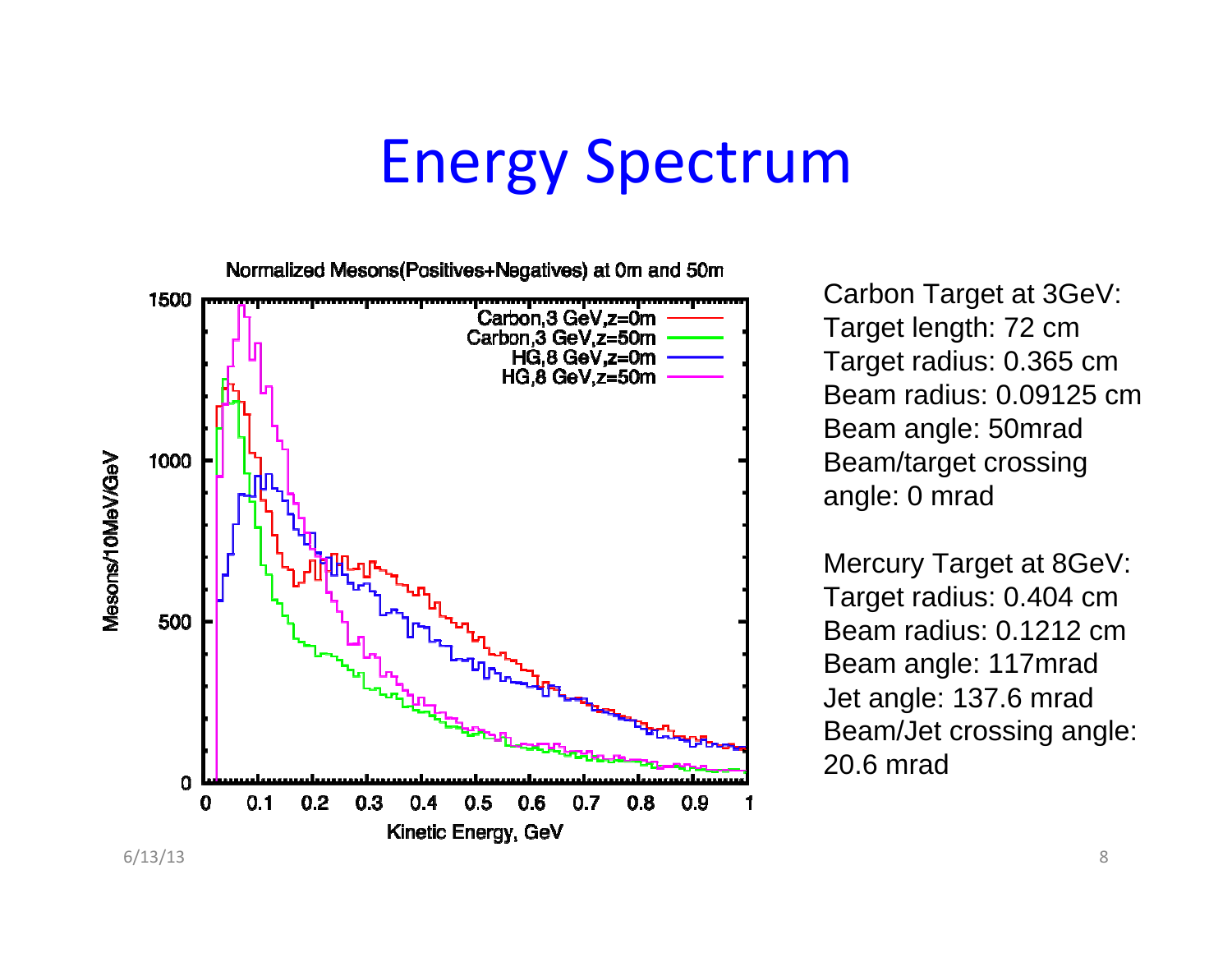## Energy Spectrum

Normalized Mesons(Positives+Negatives) at 0m and 50m 1500 Carbon, 3 GeV, z=0m Carbon.3 GeV.z=50m  $HG.8 GeV.z = 0m$  $HG.8$  GeV. $z = 50$ m 1000 Mesons/10MeV/GeV 500 O. <u>adanana kanandono</u>n  $0.2$  $0.3$  $0.7$  $0.8$  $0.9$ 0.1 0.6 1 0.4 0.5 Kinetic Energy, GeV

Carbon Target at 3GeV: Target length: 72 cm Target radius: 0.365 cm Beam radius: 0.09125 cm Beam angle: 50mrad Beam/target crossing angle: 0 mrad

Mercury Target at 8GeV: Target radius: 0.404 cm Beam radius: 0.1212 cmBeam angle: 117mrad Jet angle: 137.6 mrad Beam/Jet crossing angle: 20.6 mrad

6/13/13 8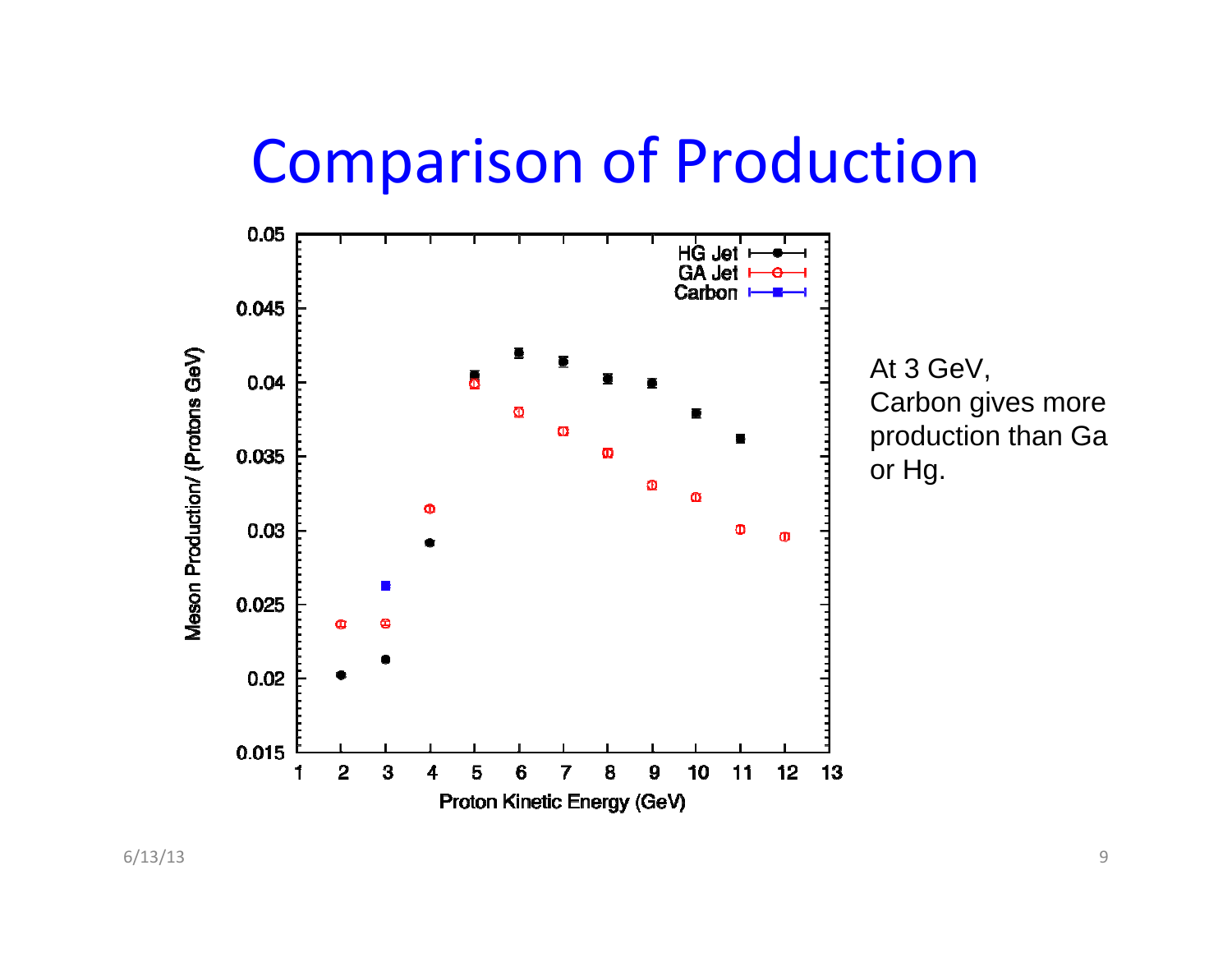### Comparison of Production



At 3 GeV, Carbon gives more production than Ga or Hg.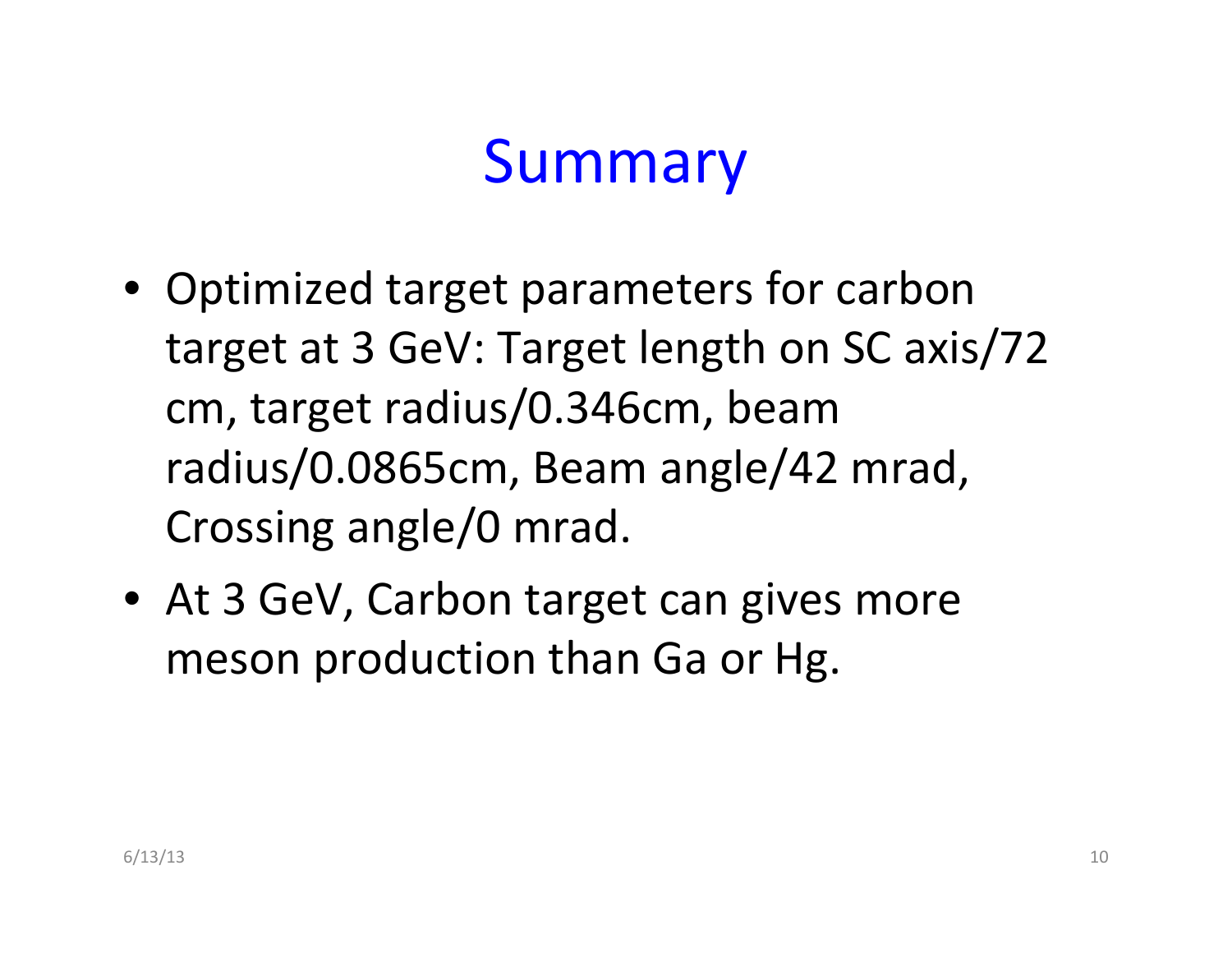# Summary

- Optimized target parameters for carbon target at 3 GeV: Target length on SC axis/72 cm, target radius/0.346cm, beam radius/0.0865cm, Beam angle/42 mrad, Crossing angle/0 mrad.
- At 3 GeV, Carbon target can gives more meson production than Ga or Hg.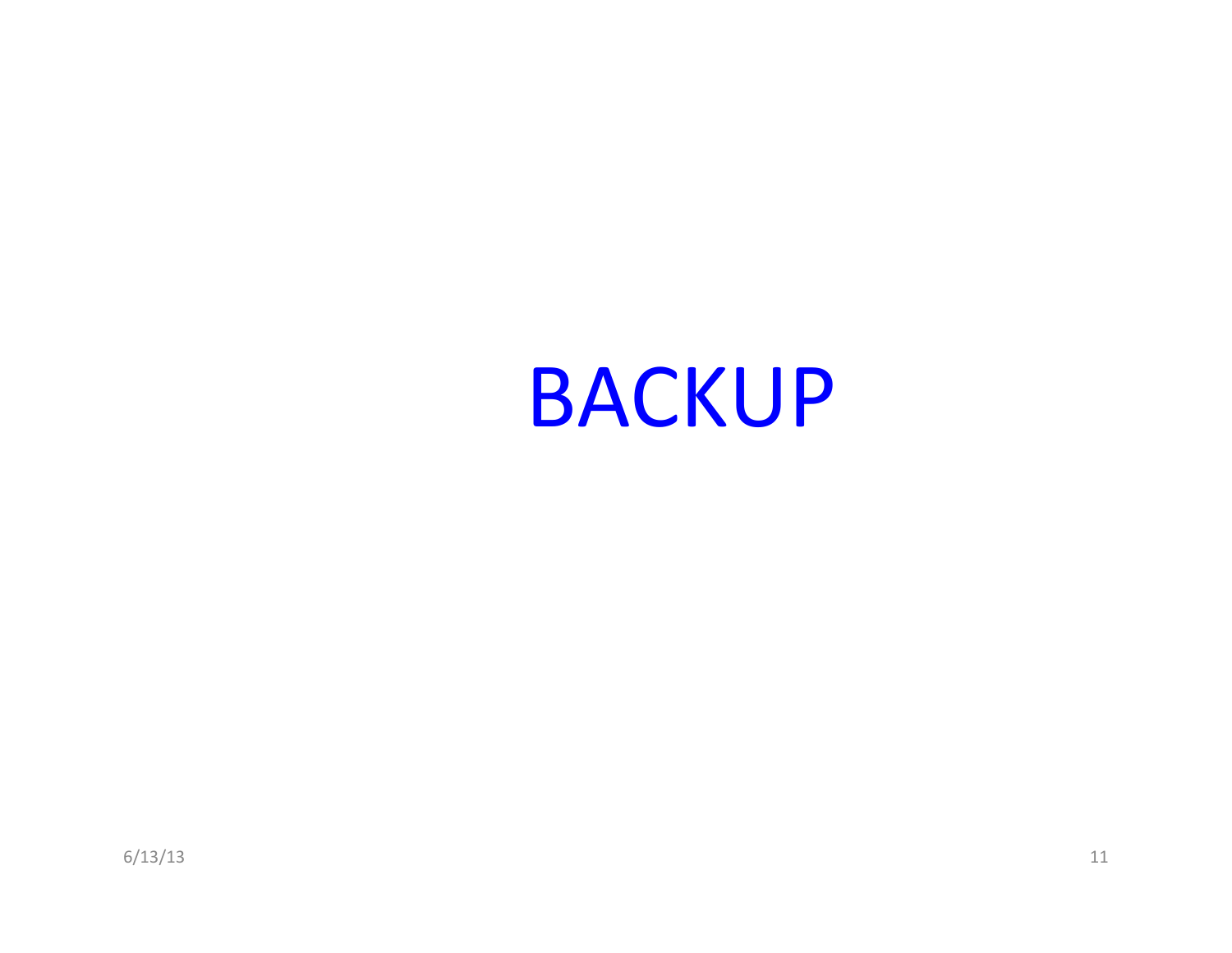# BACKUP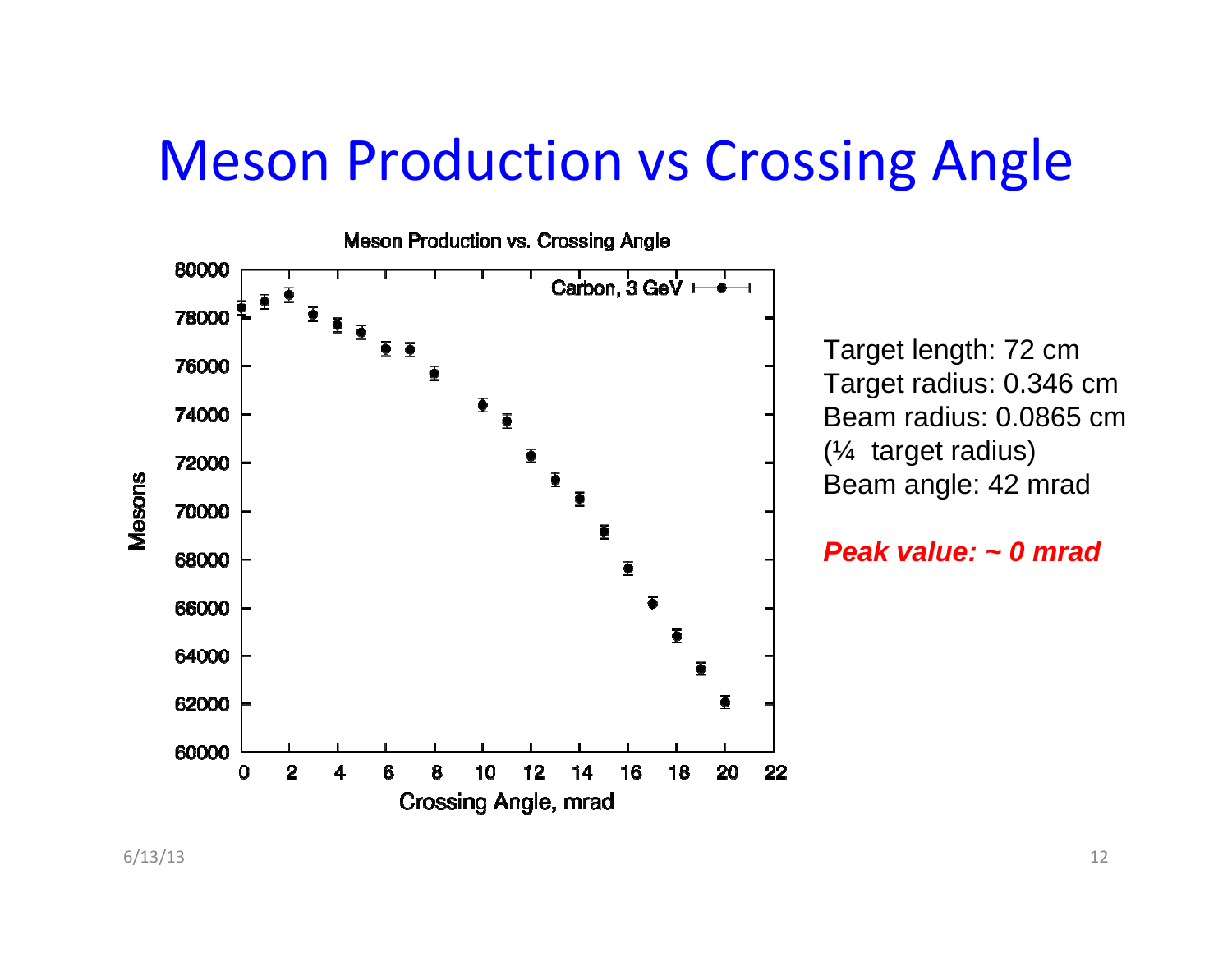### Meson Production vs Crossing Angle



Target length: 72 cm Target radius: 0.346 cm Beam radius: 0.0865 cm(¼ target radius) Beam angle: 42 mrad

*Peak value: ~ 0 mrad*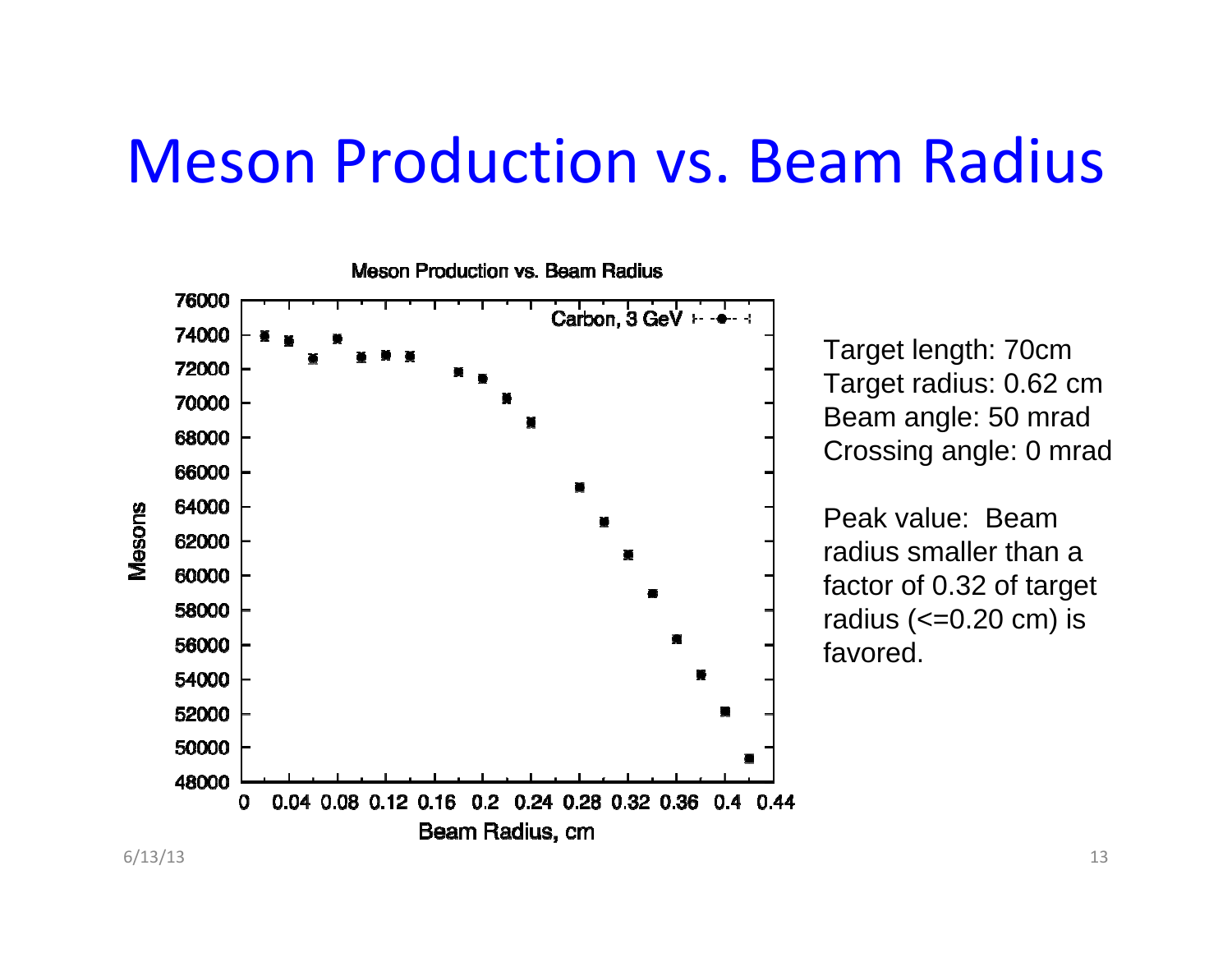### Meson Production vs. Beam Radius



Target length: 70cm Target radius: 0.62 cm Beam angle: 50 mrad Crossing angle: 0 mrad

Peak value: Beam radius smaller than a factor of 0.32 of target radius  $\left(<=0.20$  cm $\right)$  is favored.